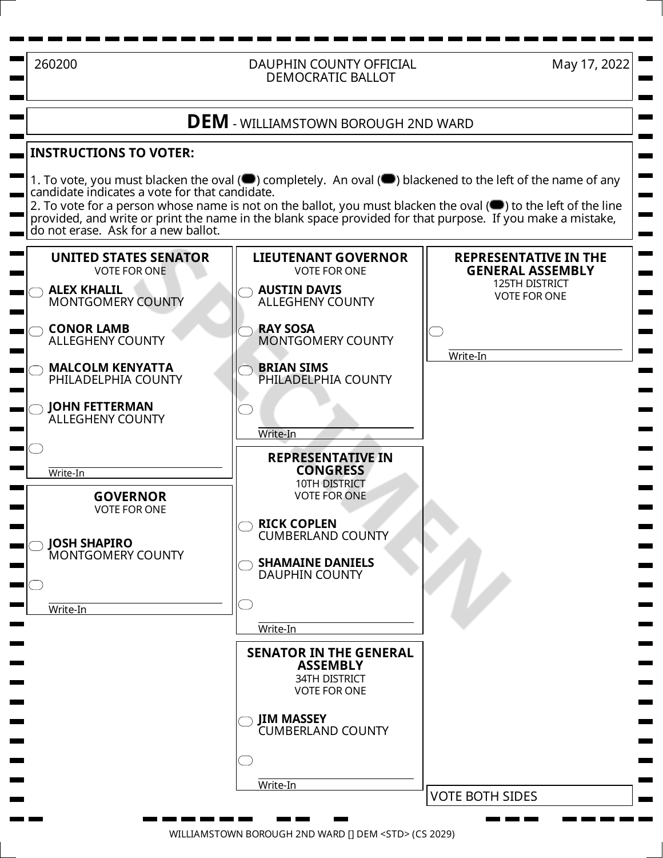## 260200 DAUPHIN COUNTY OFFICIAL DEMOCRATIC BALLOT

May 17, 2022

## **DEM** - WILLIAMSTOWN BOROUGH 2ND WARD **INSTRUCTIONS TO VOTER:** 1. To vote, you must blacken the oval ( $\blacksquare$ ) completely. An oval ( $\blacksquare$ ) blackened to the left of the name of any candidate indicates a vote for that candidate. 2. To vote for a person whose name is not on the ballot, you must blacken the oval  $($ **)** to the left of the line provided, and write or print the name in the blank space provided for that purpose. If you make a mistake, do not erase. Ask for a new ballot. **UNITED STATES SENATOR LIEUTENANT GOVERNOR REPRESENTATIVE IN THE** VOTE FOR ONE VOTE FOR ONE **GENERAL ASSEMBLY** 125TH DISTRICT **ALEX KHALIL AUSTIN DAVIS** VOTE FOR ONE MONTGOMERY COUNTY ALLEGHENY COUNTY **CONOR LAMB RAY SOSA** ALLEGHENY COUNTY MONTGOMERY COUNTY Write-In**MALCOLM KENYATTA BRIAN SIMS** PHILADELPHIA COUNTY PHILADELPHIA COUNTY **JOHN FETTERMAN** ALLEGHENY COUNTY Write-In  $\bigcirc$ **REPRESENTATIVE IN CONGRESS** Write-In 10TH DISTRICT VOTE FOR ONE **GOVERNOR** VOTE FOR ONE **RICK COPLEN** CUMBERLAND COUNTY **JOSH SHAPIRO** MONTGOMERY COUNTY **SHAMAINE DANIELS** DAUPHIN COUNTY Write-In Write-In **SENATOR IN THE GENERAL ASSEMBLY** 34TH DISTRICT VOTE FOR ONE **JIM MASSEY** CUMBERLAND COUNTY Write-In VOTE BOTH SIDES